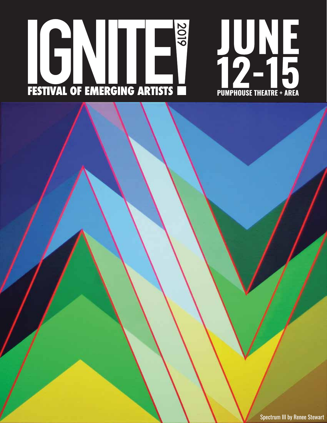



Spectrum III by Renee Stewart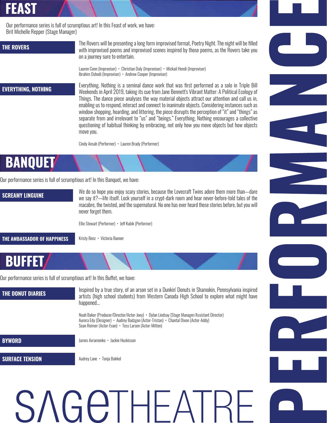## **FEAST**

Our performance series is full of scrumptious art! In this Feast of work, we have: Brit Michelle Repper (Stage Manager)

## **THE ROVERS**

The Rovers will be presenting a long form improvised format, Poetry Night. The night will be filled with improvised poems and improvised scenes inspired by those poems, as the Rovers take you on a journey sure to entertain.

Lauren Conn (Improviser) • Christian Daly (Improviser) • Mickail Hendi (Improviser) Ibrahim Oshodi (Improviser) • Andrew Cooper (Improviser)

### **EVERYTHING, NOTHING**

Everything, Nothing is a seminal dance work that was first performed as a solo in Triple Bill Weekends in April 2019, taking its cue from Jane Bennett's Vibrant Matter: A Political Ecology of Things. The dance piece analyses the way material objects attract our attention and call us in, enabling us to respond, interact and connect to inanimate objects. Considering instances such as window shopping, hoarding, and littering, the piece disrupts the perception of "it" and "things" as separate from and irrelevant to "us" and "beings." Everything, Nothing encourages a collective questioning of habitual thinking by embracing, not only how you move objects but how objects move you.

Cindy Ansah (Performer) • Lauren Brady (Performer)

# **BANQUET**

Our performance series is full of scrumptious art! In this Banquet, we have:

**SCREAMY LINGUINE** 

We do so hope you enjoy scary stories, because the Lovecraft Twins adore them more than—dare we say it?—life itself. Lock yourself in a crypt-dark room and hear never-before-told tales of the macabre, the twisted, and the supernatural. No one has ever heard these stories before, but you will never forget them.

Ellie Stewart (Performer) • Jeff Kubik (Performer)

**THE AMBASSADOR OF HAPPINESS** 

Kristy Benz • Victoria Banner

## **BUFFET**

Our performance series is full of scrumptious art! In this Buffet, we have:

## Inspired by a true story, of an arson set in a Dunkin' Donuts in Shamokin, Pennsylvania inspired **THE DONUT DIARIES** artists (high school students) from Western Canada High School to explore what might have happened... Noah Baker (Producer/Director/Actor-Joey) • Dylan Lindsay (Stage Manager/Assistant Director) Aurora Edy (Designer) • Audrey Badzgon (Actor-Tristan) • Chantal Dixon (Actor-Addy) Sean Reimer (Actor-Evan) • Tess Larsen (Actor-Mitten) **BYWORD** James Avramenko • Jackie Huskisson **SURFACE TENSION** Audrey Lane • Tonja Bokkel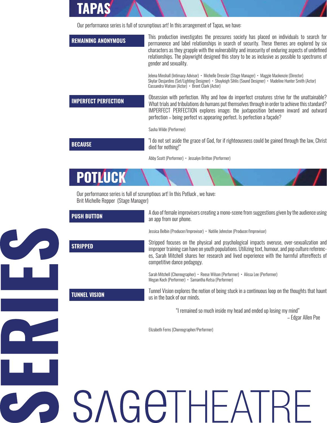Our performance series is full of scrumptious art! In this arrangement of Tapas, we have:

TAPA

**S/** 

**NG** 

S

| <b>REMAINING ANONYMOUS</b>           | This production investigates the pressures society has placed on individuals to search for<br>permanence and label relationships in search of security. These themes are explored by six<br>characters as they grapple with the vulnerability and insecurity of enduring aspects of undefined<br>relationships. The playwright designed this story to be as inclusive as possible to spectrums of<br>gender and sexuality. |  |
|--------------------------------------|----------------------------------------------------------------------------------------------------------------------------------------------------------------------------------------------------------------------------------------------------------------------------------------------------------------------------------------------------------------------------------------------------------------------------|--|
|                                      | Jelena Minshall (Intimacy Advisor) • Michelle Dressler (Stage Manager) • Maggie Mackenzie (Director)<br>Skylar Desjardins (Set/Lighting Designer) • Shayleigh Sihlis (Sound Designer) • Madeline Hunter Smith (Actor)<br>Cassandra Watson (Actor) • Brent Clark (Actor)                                                                                                                                                    |  |
| <b>IMPERFECT PERFECTION</b>          | Obsession with perfection. Why and how do imperfect creatures strive for the unattainable?<br>What trials and tribulations do humans put themselves through in order to achieve this standard?<br>IMPERFECT PERFECTION explores image; the juxtaposition between inward and outward<br>perfection - being perfect vs appearing perfect. Is perfection a façade?                                                            |  |
|                                      | Sasha Wilde (Performer)                                                                                                                                                                                                                                                                                                                                                                                                    |  |
| <b>BECAUSE</b>                       | "I do not set aside the grace of God, for if righteousness could be gained through the law, Christ<br>died for nothing!"                                                                                                                                                                                                                                                                                                   |  |
|                                      | Abby Scott (Performer) · Jessalyn Britton (Performer)                                                                                                                                                                                                                                                                                                                                                                      |  |
| POTLUCK                              |                                                                                                                                                                                                                                                                                                                                                                                                                            |  |
| Brit Michelle Repper (Stage Manager) | Our performance series is full of scrumptious art! In this Potluck, we have:                                                                                                                                                                                                                                                                                                                                               |  |
| <b>PUSH BUTTON</b>                   | A duo of female improvisers creating a mono-scene from suggestions given by the audience using<br>an app from our phone.                                                                                                                                                                                                                                                                                                   |  |
|                                      | Jessica Belbin (Producer/Improvisor) • Natilie Johnston (Producer/Improvisor)                                                                                                                                                                                                                                                                                                                                              |  |
| <b>STRIPPED</b>                      | Stripped focuses on the physical and psychological impacts overuse, over-sexualization and<br>improper training can have on youth populations. Utilizing text, humour, and pop culture referenc-<br>es, Sarah Mitchell shares her research and lived experience with the harmful aftereffects of<br>competitive dance pedagogy.                                                                                            |  |
|                                      | Sarah Mitchell (Choreographer) • Reese Wilson (Performer) • Alissa Lee (Performer)<br>Megan Koch (Performer) · Samantha Ketsa (Performer)                                                                                                                                                                                                                                                                                  |  |
| <b>TUNNEL VISION</b>                 | Tunnel Vision explores the notion of being stuck in a continuous loop on the thoughts that haunt<br>us in the back of our minds.                                                                                                                                                                                                                                                                                           |  |
|                                      | "I remained so much inside my head and ended up losing my mind"<br>- Edgar Allen Poe                                                                                                                                                                                                                                                                                                                                       |  |
|                                      | Elizabeth Ferns (Choreographer/Performer)                                                                                                                                                                                                                                                                                                                                                                                  |  |
|                                      |                                                                                                                                                                                                                                                                                                                                                                                                                            |  |
|                                      |                                                                                                                                                                                                                                                                                                                                                                                                                            |  |
|                                      |                                                                                                                                                                                                                                                                                                                                                                                                                            |  |
|                                      |                                                                                                                                                                                                                                                                                                                                                                                                                            |  |

**eT**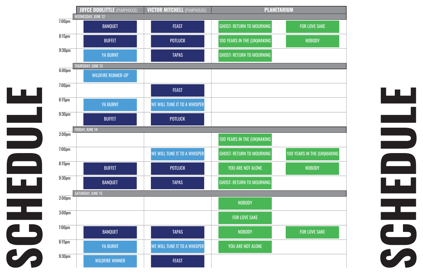



|                    | <b>VICTOR MITCHELL (PUMPHOUSE)</b><br><b>JOYCE DOOLITTLE (PUMPHOUSE)</b> |                                     |                                    | <b>PLANETARIUM</b>           |  |
|--------------------|--------------------------------------------------------------------------|-------------------------------------|------------------------------------|------------------------------|--|
| $7:00$ pm          | <b>WEDNESDAY, JUNE 12</b><br><b>BANQUET</b>                              | <b>FEAST</b>                        | <b>GHOST: RETURN TO MOURNING</b>   | <b>FOR LOVE SAKE</b>         |  |
| 8:15 <sub>pm</sub> | <b>BUFFET</b>                                                            | <b>POTLUCK</b>                      | <b>100 YEARS IN THE (UN)MAKING</b> | <b>NOBODY</b>                |  |
| 9:30 <sub>pm</sub> | <b>YA BURNT</b>                                                          | <b>TAPAS</b>                        | <b>GHOST: RETURN TO MOURNING</b>   |                              |  |
| $6:00 \text{pm}$   | <b>THURSDAY, JUNE 13</b>                                                 |                                     |                                    |                              |  |
|                    | <b>WILDFIRE RUNNER-UP</b>                                                |                                     |                                    |                              |  |
| $7:00 \text{pm}$   |                                                                          | <b>FEAST</b>                        |                                    |                              |  |
| $8:15$ pm          | <b>YA BURNT</b>                                                          | WE WILL TUNE IT TO A WHISPER        |                                    |                              |  |
| 9:30 <sub>pm</sub> | <b>BUFFET</b>                                                            | <b>POTLUCK</b>                      |                                    |                              |  |
| $2:00$ pm          | FRIDAY, JUNE 14                                                          |                                     |                                    |                              |  |
|                    |                                                                          |                                     | 100 YEARS IN THE (UN)MAKING        |                              |  |
| $7:00 \text{pm}$   |                                                                          | <b>WE WILL TUNE IT TO A WHISPER</b> | <b>GHOST: RETURN TO MOURNING</b>   | <b>100 YEARS IN THE (UN)</b> |  |
| $8:15$ pm          | <b>BUFFET</b>                                                            | <b>POTLUCK</b>                      | YOU ARE NOT ALONE                  | <b>NOBODY</b>                |  |
| 9:30 <sub>pm</sub> | <b>BANQUET</b>                                                           | <b>TAPAS</b>                        | <b>GHOST: RETURN TO MOURNING</b>   |                              |  |
| $2:00$ pm          | <b>SATURDAY, JUNE 15</b>                                                 |                                     |                                    |                              |  |
|                    |                                                                          |                                     | <b>NOBODY</b>                      |                              |  |
| 3:00 <sub>pm</sub> |                                                                          |                                     | <b>FOR LOVE SAKE</b>               |                              |  |
| $7:00 \text{pm}$   | <b>BANQUET</b>                                                           | <b>TAPAS</b>                        | <b>NOBODY</b>                      | <b>FOR LOVE SAKE</b>         |  |
| 8:15 <sub>pm</sub> | <b>YA BURNT</b>                                                          | <b>WE WILL TUNE IT TO A WHISPER</b> | YOU ARE NOT ALONE                  |                              |  |
| 9:30 <sub>pm</sub> | <b>WILDFIRE WINNER</b>                                                   | <b>FEAST</b>                        |                                    |                              |  |

LШ

ш

a an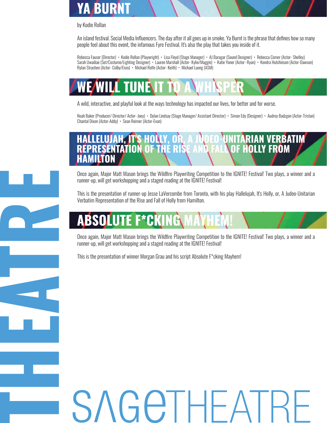## **YA BURNT**

by Kodie Rollan

An island festival. Social Media Influencers. The day after it all goes up in smoke. Ya Burnt is the phrase that defines how so many people feel about this event, the infamous Fyre Festival. It's also the play that takes you inside of it.

Rebecca Fauser (Director) • Kodie Rollan (Playwright) • Lisa Floyd (Stage Manager) • AJ Baragar (Sound Designer) • Rebecca Comer (Actor- Shelley) Sarah Uwadiae (Set/Costume/Lighting Designer) • Lauren Marshall (Actor- Kylie/Maggie) • Katie Yoner (Actor- Ryan) • Kendra Hutchinson (Actor-Dawson) Rylan Strachen (Actor- Colby/Enzo) • Michael Rolfe (Actor- Keith) • Michael Luong (ASM)

# E/WILL TUNE\II

A wild, interactive, and playful look at the ways technology has impacted our lives, for better and for worse.

Noah Baker (Producer/ Director/ Actor- Joey) • Dylan Lindsay (Stage Manager/ Assistant Director) • Simon Edy (Designer) • Audrey Badzgon (Actor-Tristan) Chantal Dixon (Actor-Addy) • Sean Reimer (Actor-Evan)

## **HOLLY FROM REPRESENTATION** ΩF n ar

Once again, Major Matt Mason brings the Wildfire Playwriting Competition to the IGNITE! Festival! Two plays, a winner and a runner-up, will get workshopping and a staged reading at the IGNITE! Festival!

This is the presentation of runner-up Jesse LaVercombe from Toronto, with his play Hallelujah, It's Holly, or, A Judeo-Unitarian Verbatim Representation of the Rise and Fall of Holly from Hamilton.

# Д

Once again, Major Matt Mason brings the Wildfire Playwriting Competition to the IGNITE! Festival! Two plays, a winner and a runner-up, will get workshopping and a staged reading at the IGNITE! Festival!

This is the presentation of winner Morgan Grau and his script Absolute F\*cking Mayhem!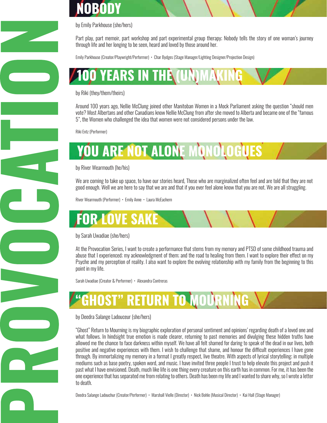# NOBODY



by Emily Parkhouse (she/hers)

Part play, part memoir, part workshop and part experimental group therapy; Nobody tells the story of one woman's journey through life and her longing to be seen, heard and loved by those around her.

Emily Parkhouse (Creator/Playwright/Performer) • Char Bydges (Stage Manager/Lighting Designer/Projection Design)

100 YEARS IN THE (UN)M

by Riki (they/them/theirs)

Around 100 years ago, Nellie McClung joined other Manitoban Women in a Mock Parliament asking the question "should men vote? Most Albertans and other Canadians know Nellie McClung from after she moved to Alberta and became one of the "famous 5", the Women who challenged the idea that women were not considered persons under the law.

Riki Entz (Performer)

# YOU ARE NOT ALONE MONOLOGUES

by River Wearmouth (he/his)

We are coming to take up space, to have our stories heard, Those who are marginalized often feel and are told that they are not good enough. Well we are here to say that we are and that if you ever feel alone know that you are not. We are all struggling.

River Wearmouth (Performer) • Emily Anne • Laura McEachern

# **FOR LOVE SAKE**

## by Sarah Uwadiae (she/hers)

At the Provocation Series, I want to create a performance that stems from my memory and PTSD of some childhood trauma and abuse that I experienced; my acknowledgment of them; and the road to healing from them. I want to explore their effect on my Psyche and my perception of reality. I also want to explore the evolving relationship with my family from the beginning to this point in my life.

Sarah Uwadiae (Creator & Performer) • Alexandra Contreras

**GHOST" RETURN TO MOURNING** 

### by Deedra Salange Ladouceur (she/hers)

"Ghost" Return to Mourning is my biographic exploration of personal sentiment and opinions' regarding death of a loved one and what follows. In hindsight true emotion is made clearer, returning to past memories and divulging these hidden truths have allowed me the chance to face darkness within myself. We have all felt shamed for daring to speak of the dead in our lives, both positive and negative experiences with them. I wish to challenge that shame, and honour the difficult experiences I have gone through. By immortalizing my memory in a format I greatly respect, live theatre. With aspects of lyrical storytelling; in multiple mediums such as base poetry, spoken word, and music. I have invited three people I trust to help elevate this project and push it past what I have envisioned. Death, much like life is one thing every creature on this earth has in common. For me, it has been the one experience that has separated me from relating to others. Death has been my life and I wanted to share why, so I wrote a letter to death.

Deedra Salange Ladouchur (Creator/Performer) • Marshall Vielle (Director) • Nick Bohle (Musical Director) • Kai Hall (Stage Manager)